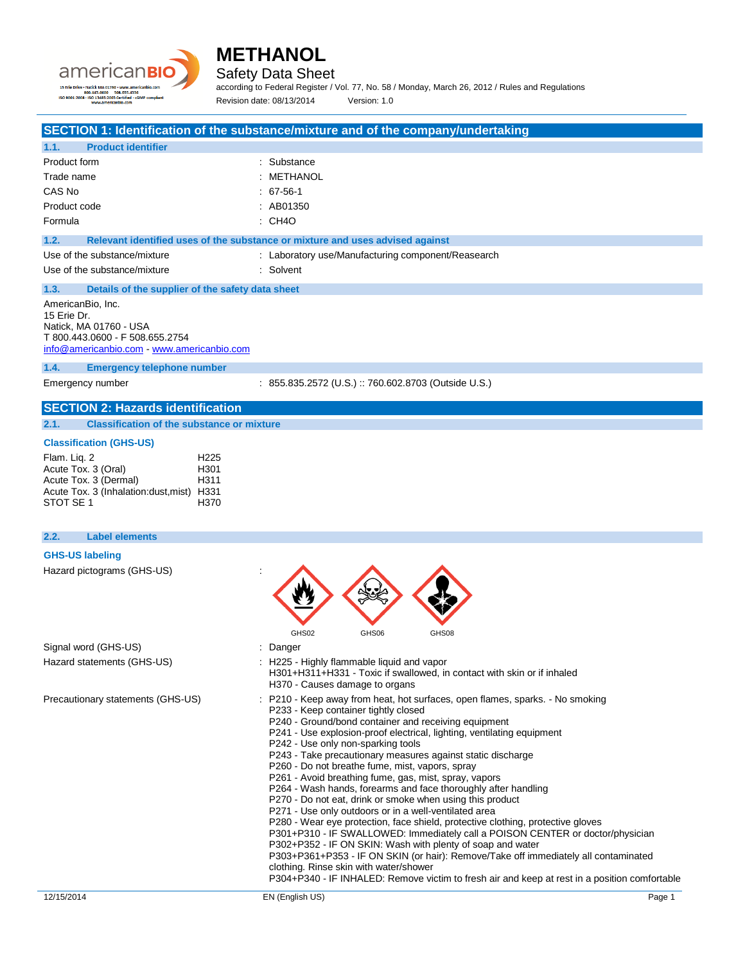



Safety Data Sheet

according to Federal Register / Vol. 77, No. 58 / Monday, March 26, 2012 / Rules and Regulations Revision date: 08/13/2014 Version: 1.0

## **SECTION 1: Identification of the substance/mixture and of the company/undertaking**

| 1.1.<br><b>Product identifier</b>                                                                                                         |                                                                               |  |
|-------------------------------------------------------------------------------------------------------------------------------------------|-------------------------------------------------------------------------------|--|
| Product form                                                                                                                              | : Substance                                                                   |  |
| Trade name                                                                                                                                | : METHANOL                                                                    |  |
| CAS No                                                                                                                                    | $: 67-56-1$                                                                   |  |
| Product code                                                                                                                              | : AB01350                                                                     |  |
| Formula                                                                                                                                   | : CH4O                                                                        |  |
| 1.2.                                                                                                                                      | Relevant identified uses of the substance or mixture and uses advised against |  |
| Use of the substance/mixture                                                                                                              | : Laboratory use/Manufacturing component/Reasearch                            |  |
| Use of the substance/mixture                                                                                                              | : Solvent                                                                     |  |
| 1.3.<br>Details of the supplier of the safety data sheet                                                                                  |                                                                               |  |
| AmericanBio, Inc.<br>15 Erie Dr.<br>Natick, MA 01760 - USA<br>T 800.443.0600 - F 508.655.2754<br>info@americanbio.com www.americanbio.com |                                                                               |  |

**1.4. Emergency telephone number**

Emergency number : 855.835.2572 (U.S.) :: 760.602.8703 (Outside U.S.)

### **SECTION 2: Hazards identification**

**2.1. Classification of the substance or mixture**

### **Classification (GHS-US)**

| Flam. Lig. 2                               | H <sub>225</sub> |
|--------------------------------------------|------------------|
| Acute Tox. 3 (Oral)                        | H <sub>301</sub> |
| Acute Tox. 3 (Dermal)                      | H <sub>311</sub> |
| Acute Tox. 3 (Inhalation: dust, mist) H331 |                  |
| STOT SE 1                                  | H370             |

## 12/15/2014 EN (English US) Page 1 **2.2. Label elements GHS-US labeling** Hazard pictograms (GHS-US) : GHS02 GHS06 GHS08 Signal word (GHS-US) in the state of the Signal word (GHS-US) in the state of the Signal state of the Signal S Hazard statements (GHS-US) : H225 - Highly flammable liquid and vapor H301+H311+H331 - Toxic if swallowed, in contact with skin or if inhaled H370 - Causes damage to organs Precautionary statements (GHS-US) : P210 - Keep away from heat, hot surfaces, open flames, sparks. - No smoking P233 - Keep container tightly closed P240 - Ground/bond container and receiving equipment P241 - Use explosion-proof electrical, lighting, ventilating equipment P242 - Use only non-sparking tools P243 - Take precautionary measures against static discharge P260 - Do not breathe fume, mist, vapors, spray P261 - Avoid breathing fume, gas, mist, spray, vapors P264 - Wash hands, forearms and face thoroughly after handling P270 - Do not eat, drink or smoke when using this product P271 - Use only outdoors or in a well-ventilated area P280 - Wear eye protection, face shield, protective clothing, protective gloves P301+P310 - IF SWALLOWED: Immediately call a POISON CENTER or doctor/physician P302+P352 - IF ON SKIN: Wash with plenty of soap and water P303+P361+P353 - IF ON SKIN (or hair): Remove/Take off immediately all contaminated clothing. Rinse skin with water/shower P304+P340 - IF INHALED: Remove victim to fresh air and keep at rest in a position comfortable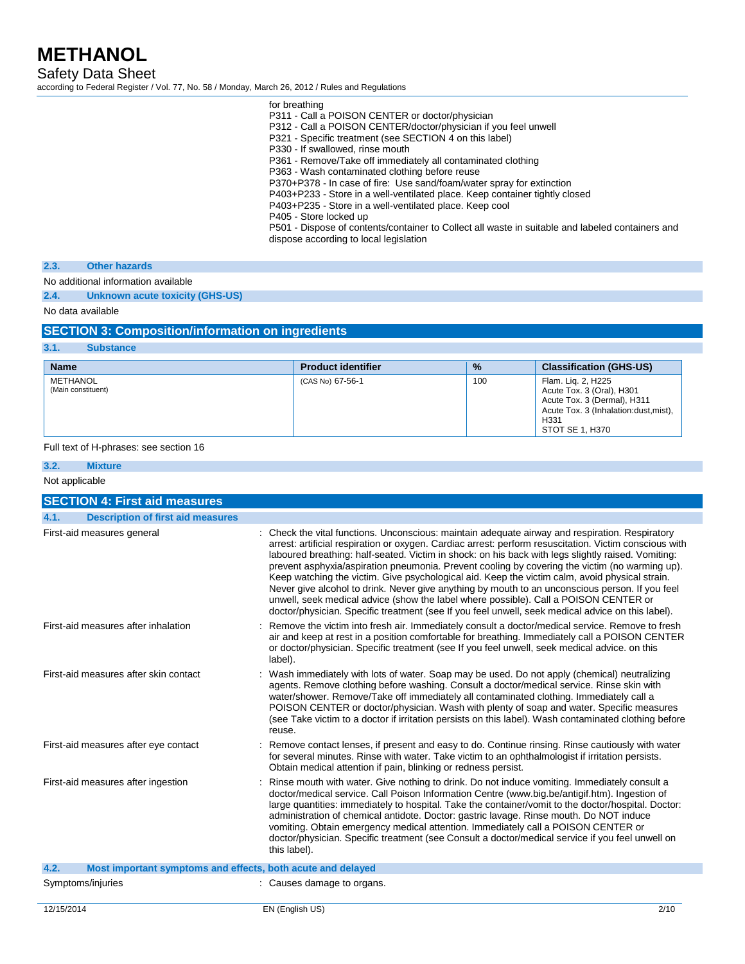Safety Data Sheet

according to Federal Register / Vol. 77, No. 58 / Monday, March 26, 2012 / Rules and Regulations

| for breathing                                                                                    |
|--------------------------------------------------------------------------------------------------|
| P311 - Call a POISON CENTER or doctor/physician                                                  |
| P312 - Call a POISON CENTER/doctor/physician if you feel unwell                                  |
| P321 - Specific treatment (see SECTION 4 on this label)                                          |
| P330 - If swallowed, rinse mouth                                                                 |
| P361 - Remove/Take off immediately all contaminated clothing                                     |
| P363 - Wash contaminated clothing before reuse                                                   |
| P370+P378 - In case of fire: Use sand/foam/water spray for extinction                            |
| P403+P233 - Store in a well-ventilated place. Keep container tightly closed                      |
| P403+P235 - Store in a well-ventilated place. Keep cool                                          |
| P405 - Store locked up                                                                           |
| P501 - Dispose of contents/container to Collect all waste in suitable and labeled containers and |
| dispose according to local legislation                                                           |
|                                                                                                  |

### **2.3. Other hazards**

No additional information available

**2.4. Unknown acute toxicity (GHS-US)**

No data available

## **SECTION 3: Composition/information on ingredients**

| 3.1.<br><b>Substance</b>       |                           |               |                                                                                                                                                    |
|--------------------------------|---------------------------|---------------|----------------------------------------------------------------------------------------------------------------------------------------------------|
| <b>Name</b>                    | <b>Product identifier</b> | $\frac{9}{6}$ | <b>Classification (GHS-US)</b>                                                                                                                     |
| METHANOL<br>(Main constituent) | (CAS No) 67-56-1          | 100           | Flam. Lig. 2, H225<br>Acute Tox. 3 (Oral), H301<br>Acute Tox. 3 (Dermal), H311<br>Acute Tox. 3 (Inhalation:dust, mist),<br>H331<br>STOT SE 1, H370 |

### Full text of H-phrases: see section 16

| 3.2.           | <b>Mixture</b>                                              |                                                                                                                                                                                                                                                                                                                                                                                                                                                                                                                                                                                                                                                                                                                                                                                                                     |
|----------------|-------------------------------------------------------------|---------------------------------------------------------------------------------------------------------------------------------------------------------------------------------------------------------------------------------------------------------------------------------------------------------------------------------------------------------------------------------------------------------------------------------------------------------------------------------------------------------------------------------------------------------------------------------------------------------------------------------------------------------------------------------------------------------------------------------------------------------------------------------------------------------------------|
| Not applicable |                                                             |                                                                                                                                                                                                                                                                                                                                                                                                                                                                                                                                                                                                                                                                                                                                                                                                                     |
|                | <b>SECTION 4: First aid measures</b>                        |                                                                                                                                                                                                                                                                                                                                                                                                                                                                                                                                                                                                                                                                                                                                                                                                                     |
| 4.1.           | <b>Description of first aid measures</b>                    |                                                                                                                                                                                                                                                                                                                                                                                                                                                                                                                                                                                                                                                                                                                                                                                                                     |
|                | First-aid measures general                                  | : Check the vital functions. Unconscious: maintain adequate airway and respiration. Respiratory<br>arrest: artificial respiration or oxygen. Cardiac arrest: perform resuscitation. Victim conscious with<br>laboured breathing: half-seated. Victim in shock: on his back with legs slightly raised. Vomiting:<br>prevent asphyxia/aspiration pneumonia. Prevent cooling by covering the victim (no warming up).<br>Keep watching the victim. Give psychological aid. Keep the victim calm, avoid physical strain.<br>Never give alcohol to drink. Never give anything by mouth to an unconscious person. If you feel<br>unwell, seek medical advice (show the label where possible). Call a POISON CENTER or<br>doctor/physician. Specific treatment (see If you feel unwell, seek medical advice on this label). |
|                | First-aid measures after inhalation                         | : Remove the victim into fresh air. Immediately consult a doctor/medical service. Remove to fresh<br>air and keep at rest in a position comfortable for breathing. Immediately call a POISON CENTER<br>or doctor/physician. Specific treatment (see If you feel unwell, seek medical advice. on this<br>label).                                                                                                                                                                                                                                                                                                                                                                                                                                                                                                     |
|                | First-aid measures after skin contact                       | Wash immediately with lots of water. Soap may be used. Do not apply (chemical) neutralizing<br>agents. Remove clothing before washing. Consult a doctor/medical service. Rinse skin with<br>water/shower. Remove/Take off immediately all contaminated clothing. Immediately call a<br>POISON CENTER or doctor/physician. Wash with plenty of soap and water. Specific measures<br>(see Take victim to a doctor if irritation persists on this label). Wash contaminated clothing before<br>reuse.                                                                                                                                                                                                                                                                                                                  |
|                | First-aid measures after eye contact                        | : Remove contact lenses, if present and easy to do. Continue rinsing. Rinse cautiously with water<br>for several minutes. Rinse with water. Take victim to an ophthalmologist if irritation persists.<br>Obtain medical attention if pain, blinking or redness persist.                                                                                                                                                                                                                                                                                                                                                                                                                                                                                                                                             |
|                | First-aid measures after ingestion                          | : Rinse mouth with water. Give nothing to drink. Do not induce vomiting. Immediately consult a<br>doctor/medical service. Call Poison Information Centre (www.big.be/antigif.htm). Ingestion of<br>large quantities: immediately to hospital. Take the container/vomit to the doctor/hospital. Doctor:<br>administration of chemical antidote. Doctor: gastric lavage. Rinse mouth. Do NOT induce<br>vomiting. Obtain emergency medical attention. Immediately call a POISON CENTER or<br>doctor/physician. Specific treatment (see Consult a doctor/medical service if you feel unwell on<br>this label).                                                                                                                                                                                                          |
| 4.2.           | Most important symptoms and effects, both acute and delayed |                                                                                                                                                                                                                                                                                                                                                                                                                                                                                                                                                                                                                                                                                                                                                                                                                     |
|                | Symptoms/injuries                                           | : Causes damage to organs.                                                                                                                                                                                                                                                                                                                                                                                                                                                                                                                                                                                                                                                                                                                                                                                          |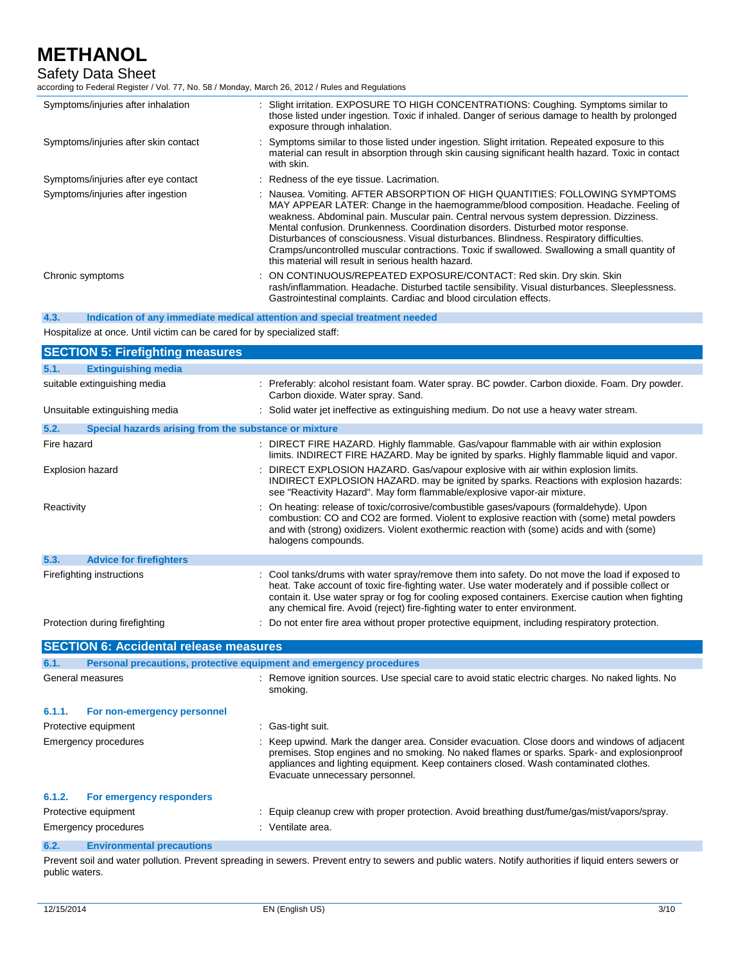# Safety Data Sheet

according to Federal Register / Vol. 77, No. 58 / Monday, March 26, 2012 / Rules and Regulations

| Symptoms/injuries after inhalation   | : Slight irritation. EXPOSURE TO HIGH CONCENTRATIONS: Coughing. Symptoms similar to<br>those listed under ingestion. Toxic if inhaled. Danger of serious damage to health by prolonged<br>exposure through inhalation.                                                                                                                                                                                                                                                                                                                                                                               |
|--------------------------------------|------------------------------------------------------------------------------------------------------------------------------------------------------------------------------------------------------------------------------------------------------------------------------------------------------------------------------------------------------------------------------------------------------------------------------------------------------------------------------------------------------------------------------------------------------------------------------------------------------|
| Symptoms/injuries after skin contact | : Symptoms similar to those listed under ingestion. Slight irritation. Repeated exposure to this<br>material can result in absorption through skin causing significant health hazard. Toxic in contact<br>with skin.                                                                                                                                                                                                                                                                                                                                                                                 |
| Symptoms/injuries after eye contact  | : Redness of the eye tissue. Lacrimation.                                                                                                                                                                                                                                                                                                                                                                                                                                                                                                                                                            |
| Symptoms/injuries after ingestion    | : Nausea. Vomiting. AFTER ABSORPTION OF HIGH QUANTITIES: FOLLOWING SYMPTOMS<br>MAY APPEAR LATER: Change in the haemogramme/blood composition. Headache. Feeling of<br>weakness. Abdominal pain. Muscular pain. Central nervous system depression. Dizziness.<br>Mental confusion. Drunkenness. Coordination disorders. Disturbed motor response.<br>Disturbances of consciousness. Visual disturbances. Blindness. Respiratory difficulties.<br>Cramps/uncontrolled muscular contractions. Toxic if swallowed. Swallowing a small quantity of<br>this material will result in serious health hazard. |
| Chronic symptoms                     | : ON CONTINUOUS/REPEATED EXPOSURE/CONTACT: Red skin. Dry skin. Skin<br>rash/inflammation. Headache. Disturbed tactile sensibility. Visual disturbances. Sleeplessness.<br>Gastrointestinal complaints. Cardiac and blood circulation effects.                                                                                                                                                                                                                                                                                                                                                        |

**4.3. Indication of any immediate medical attention and special treatment needed**

Hospitalize at once. Until victim can be cared for by specialized staff:

|                         | <b>SECTION 5: Firefighting measures</b>                             |                                                                                                                                                                                                                                                                                                                                                                                         |
|-------------------------|---------------------------------------------------------------------|-----------------------------------------------------------------------------------------------------------------------------------------------------------------------------------------------------------------------------------------------------------------------------------------------------------------------------------------------------------------------------------------|
| 5.1.                    | <b>Extinguishing media</b>                                          |                                                                                                                                                                                                                                                                                                                                                                                         |
|                         | suitable extinguishing media                                        | : Preferably: alcohol resistant foam. Water spray. BC powder. Carbon dioxide. Foam. Dry powder.<br>Carbon dioxide. Water spray. Sand.                                                                                                                                                                                                                                                   |
|                         | Unsuitable extinguishing media                                      | : Solid water jet ineffective as extinguishing medium. Do not use a heavy water stream.                                                                                                                                                                                                                                                                                                 |
| 5.2.                    | Special hazards arising from the substance or mixture               |                                                                                                                                                                                                                                                                                                                                                                                         |
| Fire hazard             |                                                                     | DIRECT FIRE HAZARD. Highly flammable. Gas/vapour flammable with air within explosion<br>limits. INDIRECT FIRE HAZARD. May be ignited by sparks. Highly flammable liquid and vapor.                                                                                                                                                                                                      |
| <b>Explosion hazard</b> |                                                                     | DIRECT EXPLOSION HAZARD. Gas/vapour explosive with air within explosion limits.<br>INDIRECT EXPLOSION HAZARD, may be ignited by sparks. Reactions with explosion hazards:<br>see "Reactivity Hazard". May form flammable/explosive vapor-air mixture.                                                                                                                                   |
| Reactivity              |                                                                     | On heating: release of toxic/corrosive/combustible gases/vapours (formaldehyde). Upon<br>combustion: CO and CO2 are formed. Violent to explosive reaction with (some) metal powders<br>and with (strong) oxidizers. Violent exothermic reaction with (some) acids and with (some)<br>halogens compounds.                                                                                |
| 5.3.                    | <b>Advice for firefighters</b>                                      |                                                                                                                                                                                                                                                                                                                                                                                         |
|                         | Firefighting instructions                                           | : Cool tanks/drums with water spray/remove them into safety. Do not move the load if exposed to<br>heat. Take account of toxic fire-fighting water. Use water moderately and if possible collect or<br>contain it. Use water spray or fog for cooling exposed containers. Exercise caution when fighting<br>any chemical fire. Avoid (reject) fire-fighting water to enter environment. |
|                         | Protection during firefighting                                      | Do not enter fire area without proper protective equipment, including respiratory protection.                                                                                                                                                                                                                                                                                           |
|                         | <b>SECTION 6: Accidental release measures</b>                       |                                                                                                                                                                                                                                                                                                                                                                                         |
| 6.1.                    | Personal precautions, protective equipment and emergency procedures |                                                                                                                                                                                                                                                                                                                                                                                         |
|                         | General measures                                                    | : Remove ignition sources. Use special care to avoid static electric charges. No naked lights. No<br>smoking.                                                                                                                                                                                                                                                                           |
| 6.1.1.                  | For non-emergency personnel                                         |                                                                                                                                                                                                                                                                                                                                                                                         |
|                         | Protective equipment                                                | : Gas-tight suit.                                                                                                                                                                                                                                                                                                                                                                       |
|                         | <b>Emergency procedures</b>                                         | Keep upwind. Mark the danger area. Consider evacuation. Close doors and windows of adjacent<br>premises. Stop engines and no smoking. No naked flames or sparks. Spark- and explosionproof<br>appliances and lighting equipment. Keep containers closed. Wash contaminated clothes.<br>Evacuate unnecessary personnel.                                                                  |
| 6.1.2.                  | For emergency responders                                            |                                                                                                                                                                                                                                                                                                                                                                                         |
|                         | Protective equipment                                                | Equip cleanup crew with proper protection. Avoid breathing dust/fume/gas/mist/vapors/spray.                                                                                                                                                                                                                                                                                             |
|                         | <b>Emergency procedures</b>                                         | : Ventilate area.                                                                                                                                                                                                                                                                                                                                                                       |
| 6.2.                    | <b>Environmental precautions</b>                                    |                                                                                                                                                                                                                                                                                                                                                                                         |

Prevent soil and water pollution. Prevent spreading in sewers. Prevent entry to sewers and public waters. Notify authorities if liquid enters sewers or public waters.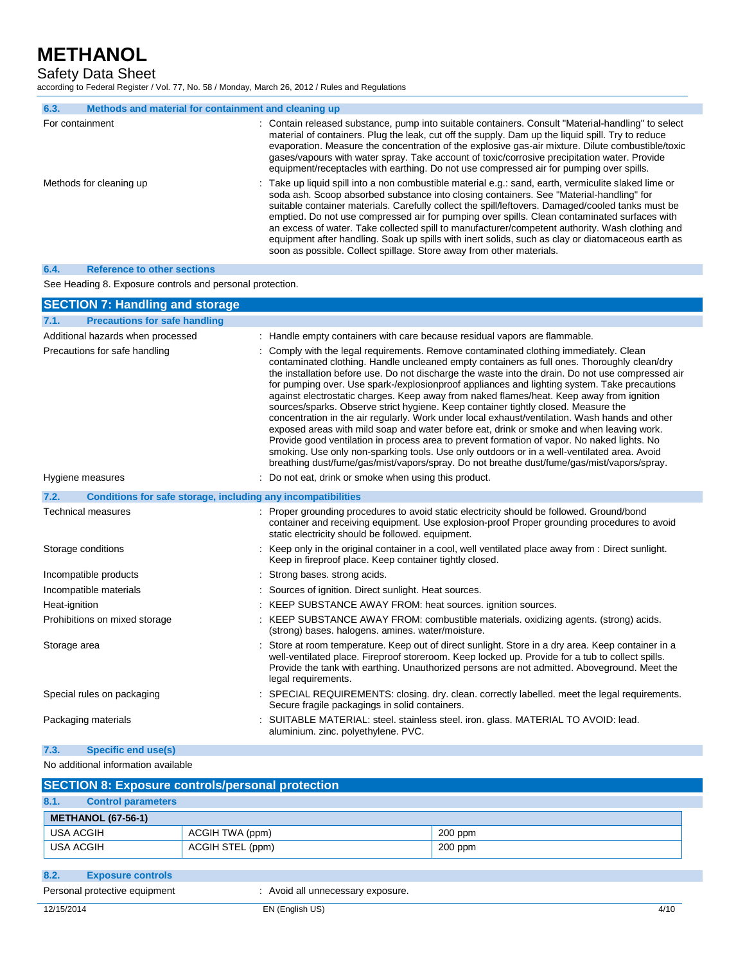Safety Data Sheet

according to Federal Register / Vol. 77, No. 58 / Monday, March 26, 2012 / Rules and Regulations

| 6.3.            | Methods and material for containment and cleaning up |                                                                                                                                                                                                                                                                                                                                                                                                                                                                                                                                                                                                                                                                                      |
|-----------------|------------------------------------------------------|--------------------------------------------------------------------------------------------------------------------------------------------------------------------------------------------------------------------------------------------------------------------------------------------------------------------------------------------------------------------------------------------------------------------------------------------------------------------------------------------------------------------------------------------------------------------------------------------------------------------------------------------------------------------------------------|
| For containment |                                                      | : Contain released substance, pump into suitable containers. Consult "Material-handling" to select<br>material of containers. Plug the leak, cut off the supply. Dam up the liquid spill. Try to reduce<br>evaporation. Measure the concentration of the explosive gas-air mixture. Dilute combustible/toxic<br>gases/vapours with water spray. Take account of toxic/corrosive precipitation water. Provide<br>equipment/receptacles with earthing. Do not use compressed air for pumping over spills.                                                                                                                                                                              |
|                 | Methods for cleaning up                              | : Take up liquid spill into a non combustible material e.g.: sand, earth, vermiculite slaked lime or<br>soda ash. Scoop absorbed substance into closing containers. See "Material-handling" for<br>suitable container materials. Carefully collect the spill/leftovers. Damaged/cooled tanks must be<br>emptied. Do not use compressed air for pumping over spills. Clean contaminated surfaces with<br>an excess of water. Take collected spill to manufacturer/competent authority. Wash clothing and<br>equipment after handling. Soak up spills with inert solids, such as clay or diatomaceous earth as<br>soon as possible. Collect spillage. Store away from other materials. |

### **6.4. Reference to other sections**

See Heading 8. Exposure controls and personal protection.

| <b>SECTION 7: Handling and storage</b>                               |                                                                                                                                                                                                                                                                                                                                                                                                                                                                                                                                                                                                                                                                                                                                                                                                                                                                                                                                                                                                                                                                       |
|----------------------------------------------------------------------|-----------------------------------------------------------------------------------------------------------------------------------------------------------------------------------------------------------------------------------------------------------------------------------------------------------------------------------------------------------------------------------------------------------------------------------------------------------------------------------------------------------------------------------------------------------------------------------------------------------------------------------------------------------------------------------------------------------------------------------------------------------------------------------------------------------------------------------------------------------------------------------------------------------------------------------------------------------------------------------------------------------------------------------------------------------------------|
| <b>Precautions for safe handling</b><br>7.1.                         |                                                                                                                                                                                                                                                                                                                                                                                                                                                                                                                                                                                                                                                                                                                                                                                                                                                                                                                                                                                                                                                                       |
| Additional hazards when processed                                    | : Handle empty containers with care because residual vapors are flammable.                                                                                                                                                                                                                                                                                                                                                                                                                                                                                                                                                                                                                                                                                                                                                                                                                                                                                                                                                                                            |
| Precautions for safe handling                                        | : Comply with the legal requirements. Remove contaminated clothing immediately. Clean<br>contaminated clothing. Handle uncleaned empty containers as full ones. Thoroughly clean/dry<br>the installation before use. Do not discharge the waste into the drain. Do not use compressed air<br>for pumping over. Use spark-/explosionproof appliances and lighting system. Take precautions<br>against electrostatic charges. Keep away from naked flames/heat. Keep away from ignition<br>sources/sparks. Observe strict hygiene. Keep container tightly closed. Measure the<br>concentration in the air regularly. Work under local exhaust/ventilation. Wash hands and other<br>exposed areas with mild soap and water before eat, drink or smoke and when leaving work.<br>Provide good ventilation in process area to prevent formation of vapor. No naked lights. No<br>smoking. Use only non-sparking tools. Use only outdoors or in a well-ventilated area. Avoid<br>breathing dust/fume/gas/mist/vapors/spray. Do not breathe dust/fume/gas/mist/vapors/spray. |
| Hygiene measures                                                     | Do not eat, drink or smoke when using this product.                                                                                                                                                                                                                                                                                                                                                                                                                                                                                                                                                                                                                                                                                                                                                                                                                                                                                                                                                                                                                   |
| Conditions for safe storage, including any incompatibilities<br>7.2. |                                                                                                                                                                                                                                                                                                                                                                                                                                                                                                                                                                                                                                                                                                                                                                                                                                                                                                                                                                                                                                                                       |
| <b>Technical measures</b>                                            | : Proper grounding procedures to avoid static electricity should be followed. Ground/bond<br>container and receiving equipment. Use explosion-proof Proper grounding procedures to avoid<br>static electricity should be followed, equipment.                                                                                                                                                                                                                                                                                                                                                                                                                                                                                                                                                                                                                                                                                                                                                                                                                         |
| Storage conditions                                                   | : Keep only in the original container in a cool, well ventilated place away from : Direct sunlight.<br>Keep in fireproof place. Keep container tightly closed.                                                                                                                                                                                                                                                                                                                                                                                                                                                                                                                                                                                                                                                                                                                                                                                                                                                                                                        |
| Incompatible products                                                | Strong bases, strong acids.                                                                                                                                                                                                                                                                                                                                                                                                                                                                                                                                                                                                                                                                                                                                                                                                                                                                                                                                                                                                                                           |
| Incompatible materials                                               | Sources of ignition. Direct sunlight. Heat sources.                                                                                                                                                                                                                                                                                                                                                                                                                                                                                                                                                                                                                                                                                                                                                                                                                                                                                                                                                                                                                   |
| Heat-ignition                                                        | KEEP SUBSTANCE AWAY FROM: heat sources. ignition sources.                                                                                                                                                                                                                                                                                                                                                                                                                                                                                                                                                                                                                                                                                                                                                                                                                                                                                                                                                                                                             |
| Prohibitions on mixed storage                                        | KEEP SUBSTANCE AWAY FROM: combustible materials. oxidizing agents. (strong) acids.<br>(strong) bases. halogens. amines. water/moisture.                                                                                                                                                                                                                                                                                                                                                                                                                                                                                                                                                                                                                                                                                                                                                                                                                                                                                                                               |
| Storage area                                                         | Store at room temperature. Keep out of direct sunlight. Store in a dry area. Keep container in a<br>well-ventilated place. Fireproof storeroom. Keep locked up. Provide for a tub to collect spills.<br>Provide the tank with earthing. Unauthorized persons are not admitted. Aboveground. Meet the<br>legal requirements.                                                                                                                                                                                                                                                                                                                                                                                                                                                                                                                                                                                                                                                                                                                                           |
| Special rules on packaging                                           | SPECIAL REQUIREMENTS: closing. dry. clean. correctly labelled. meet the legal requirements.<br>Secure fragile packagings in solid containers.                                                                                                                                                                                                                                                                                                                                                                                                                                                                                                                                                                                                                                                                                                                                                                                                                                                                                                                         |
| Packaging materials                                                  | SUITABLE MATERIAL: steel. stainless steel. iron. glass. MATERIAL TO AVOID: lead.<br>aluminium. zinc. polyethylene. PVC.                                                                                                                                                                                                                                                                                                                                                                                                                                                                                                                                                                                                                                                                                                                                                                                                                                                                                                                                               |
| Specific end use(s)<br>7.3.                                          |                                                                                                                                                                                                                                                                                                                                                                                                                                                                                                                                                                                                                                                                                                                                                                                                                                                                                                                                                                                                                                                                       |

### No additional information available

| <b>SECTION 8: Exposure controls/personal protection</b> |                                                                                  |           |  |
|---------------------------------------------------------|----------------------------------------------------------------------------------|-----------|--|
|                                                         |                                                                                  |           |  |
|                                                         |                                                                                  |           |  |
|                                                         | ACGIH TWA (ppm)                                                                  | $200$ ppm |  |
|                                                         | ACGIH STEL (ppm)                                                                 | 200 ppm   |  |
|                                                         | <b>Control parameters</b><br><b>METHANOL (67-56-1)</b><br>USA ACGIH<br>USA ACGIH |           |  |

- **8.2. Exposure controls**
- 

Personal protective equipment : Avoid all unnecessary exposure.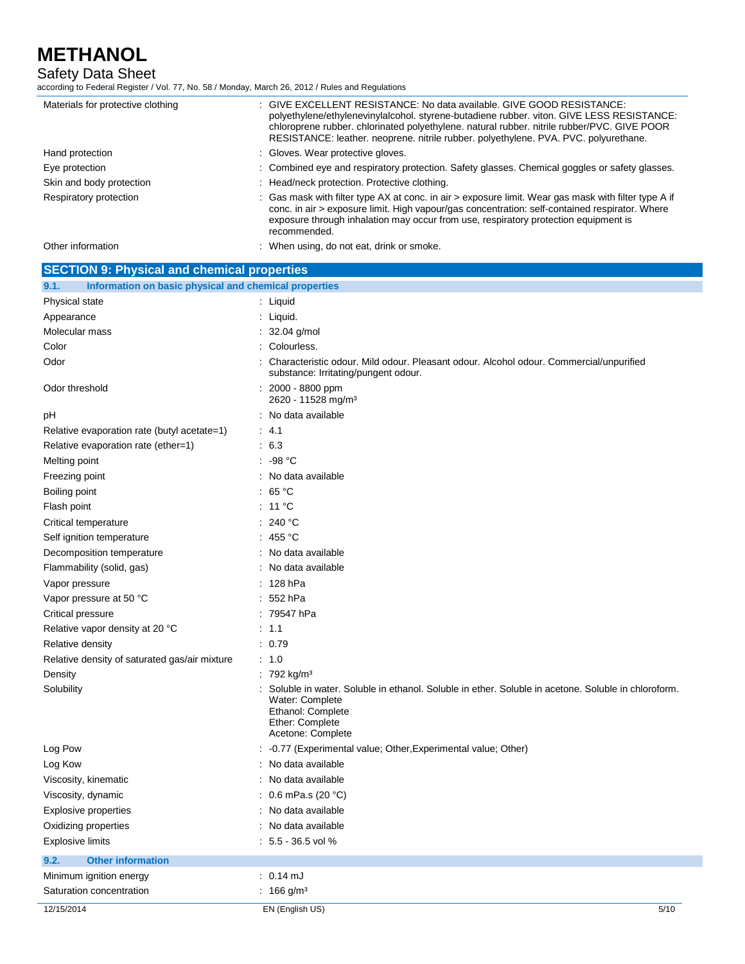Safety Data Sheet

according to Federal Register / Vol. 77, No. 58 / Monday, March 26, 2012 / Rules and Regulations

| Materials for protective clothing                  | : GIVE EXCELLENT RESISTANCE: No data available. GIVE GOOD RESISTANCE:<br>polyethylene/ethylenevinylalcohol. styrene-butadiene rubber. viton. GIVE LESS RESISTANCE:<br>chloroprene rubber. chlorinated polyethylene. natural rubber. nitrile rubber/PVC. GIVE POOR<br>RESISTANCE: leather. neoprene. nitrile rubber. polyethylene. PVA. PVC. polyurethane. |  |
|----------------------------------------------------|-----------------------------------------------------------------------------------------------------------------------------------------------------------------------------------------------------------------------------------------------------------------------------------------------------------------------------------------------------------|--|
| Hand protection                                    | : Gloves. Wear protective gloves.                                                                                                                                                                                                                                                                                                                         |  |
| Eye protection                                     | : Combined eye and respiratory protection. Safety glasses. Chemical goggles or safety glasses.                                                                                                                                                                                                                                                            |  |
| Skin and body protection                           | : Head/neck protection. Protective clothing.                                                                                                                                                                                                                                                                                                              |  |
| Respiratory protection                             | : Gas mask with filter type AX at conc. in air > exposure limit. Wear gas mask with filter type A if<br>conc. in air > exposure limit. High vapour/gas concentration: self-contained respirator. Where<br>exposure through inhalation may occur from use, respiratory protection equipment is<br>recommended.                                             |  |
| Other information                                  | : When using, do not eat, drink or smoke.                                                                                                                                                                                                                                                                                                                 |  |
| <b>SECTION 9: Physical and chemical properties</b> |                                                                                                                                                                                                                                                                                                                                                           |  |
| 9.1.                                               | Information on basic physical and chemical properties                                                                                                                                                                                                                                                                                                     |  |

| Physical state                                | : Liquid                                                                                                                                                                           |
|-----------------------------------------------|------------------------------------------------------------------------------------------------------------------------------------------------------------------------------------|
| Appearance                                    | : Liquid.                                                                                                                                                                          |
| Molecular mass                                | : $32.04$ g/mol                                                                                                                                                                    |
| Color                                         | Colourless.                                                                                                                                                                        |
| Odor                                          | : Characteristic odour. Mild odour. Pleasant odour. Alcohol odour. Commercial/unpurified<br>substance: Irritating/pungent odour.                                                   |
| Odor threshold                                | 2000 - 8800 ppm<br>2620 - 11528 mg/m <sup>3</sup>                                                                                                                                  |
| pH                                            | : No data available                                                                                                                                                                |
| Relative evaporation rate (butyl acetate=1)   | : 4.1                                                                                                                                                                              |
| Relative evaporation rate (ether=1)           | : 6.3                                                                                                                                                                              |
| Melting point                                 | $: -98 °C$                                                                                                                                                                         |
| Freezing point                                | : No data available                                                                                                                                                                |
| Boiling point                                 | : 65 $^{\circ}$ C                                                                                                                                                                  |
| Flash point                                   | $: 11^{\circ}$ C                                                                                                                                                                   |
| Critical temperature                          | : 240 °C                                                                                                                                                                           |
| Self ignition temperature                     | : 455 °C                                                                                                                                                                           |
| Decomposition temperature                     | : No data available                                                                                                                                                                |
| Flammability (solid, gas)                     | : No data available                                                                                                                                                                |
| Vapor pressure                                | : 128 hPa                                                                                                                                                                          |
| Vapor pressure at 50 °C                       | : 552 hPa                                                                                                                                                                          |
| Critical pressure                             | : 79547 hPa                                                                                                                                                                        |
| Relative vapor density at 20 °C               | : 1.1                                                                                                                                                                              |
| Relative density                              | : 0.79                                                                                                                                                                             |
| Relative density of saturated gas/air mixture | : 1.0                                                                                                                                                                              |
| Density                                       | : 792 kg/m <sup>3</sup>                                                                                                                                                            |
| Solubility                                    | Soluble in water. Soluble in ethanol. Soluble in ether. Soluble in acetone. Soluble in chloroform.<br>Water: Complete<br>Ethanol: Complete<br>Ether: Complete<br>Acetone: Complete |
| Log Pow                                       | : -0.77 (Experimental value; Other, Experimental value; Other)                                                                                                                     |
| Log Kow                                       | No data available                                                                                                                                                                  |
| Viscosity, kinematic                          | : No data available                                                                                                                                                                |
| Viscosity, dynamic                            | : $0.6$ mPa.s (20 °C)                                                                                                                                                              |
| <b>Explosive properties</b>                   | : No data available                                                                                                                                                                |
| Oxidizing properties                          | No data available                                                                                                                                                                  |
| <b>Explosive limits</b>                       | $: 5.5 - 36.5$ vol %                                                                                                                                                               |
| <b>Other information</b><br>9.2.              |                                                                                                                                                                                    |
| Minimum ignition energy                       | $: 0.14 \text{ mJ}$                                                                                                                                                                |
| Saturation concentration                      | : 166 g/m <sup>3</sup>                                                                                                                                                             |
| 12/15/2014                                    | EN (English US)<br>5/10                                                                                                                                                            |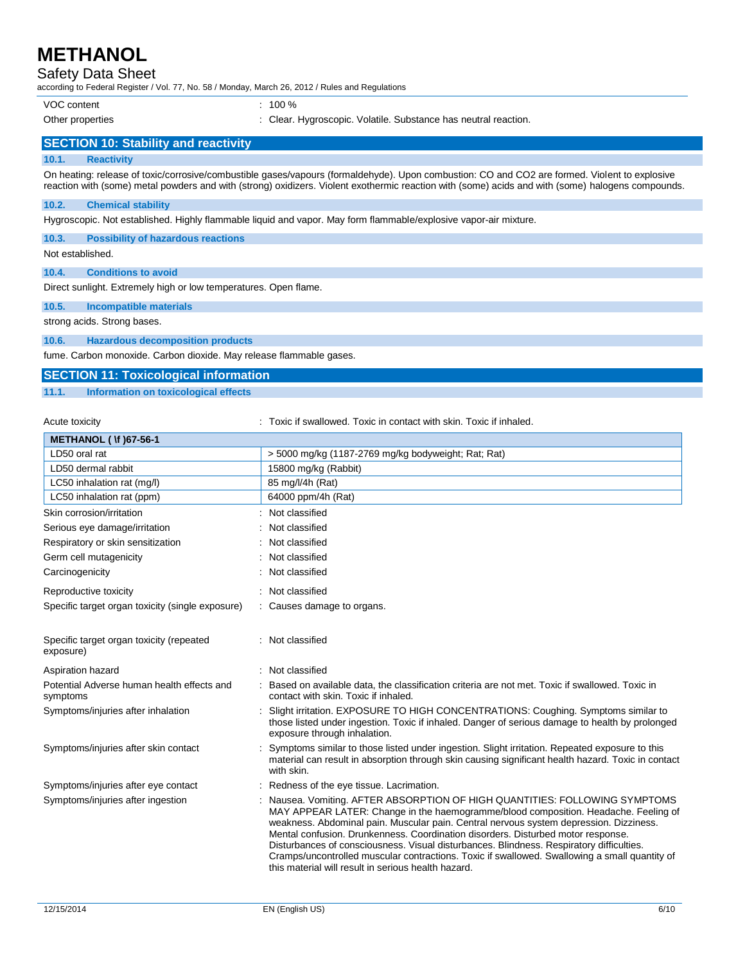## Safety Data Sheet

according to Federal Register / Vol. 77, No. 58 / Monday, March 26, 2012 / Rules and Regulations

VOC content : 100 %

- 
- Other properties : Clear. Hygroscopic. Volatile. Substance has neutral reaction.

## **SECTION 10: Stability and reactivity**

### **10.1. Reactivity**

On heating: release of toxic/corrosive/combustible gases/vapours (formaldehyde). Upon combustion: CO and CO2 are formed. Violent to explosive reaction with (some) metal powders and with (strong) oxidizers. Violent exothermic reaction with (some) acids and with (some) halogens compounds.

### **10.2. Chemical stability**

Hygroscopic. Not established. Highly flammable liquid and vapor. May form flammable/explosive vapor-air mixture.

**10.3. Possibility of hazardous reactions**

### Not established.

**10.4. Conditions to avoid**

Direct sunlight. Extremely high or low temperatures. Open flame.

### **10.5. Incompatible materials**

strong acids. Strong bases.

### **10.6. Hazardous decomposition products**

fume. Carbon monoxide. Carbon dioxide. May release flammable gases.

## **SECTION 11: Toxicological information**

### **11.1. Information on toxicological effects**

Acute toxicity **in the summand of the top of the state of the state of the state of the state of the state of t** 

| <b>METHANOL (\f) 67-56-1</b>                           |                                                                                                                                                                                                                                                                                                                                                                                                                                                                                                                                                                                                    |  |
|--------------------------------------------------------|----------------------------------------------------------------------------------------------------------------------------------------------------------------------------------------------------------------------------------------------------------------------------------------------------------------------------------------------------------------------------------------------------------------------------------------------------------------------------------------------------------------------------------------------------------------------------------------------------|--|
| LD50 oral rat                                          | > 5000 mg/kg (1187-2769 mg/kg bodyweight; Rat; Rat)                                                                                                                                                                                                                                                                                                                                                                                                                                                                                                                                                |  |
| LD50 dermal rabbit                                     | 15800 mg/kg (Rabbit)                                                                                                                                                                                                                                                                                                                                                                                                                                                                                                                                                                               |  |
| LC50 inhalation rat (mg/l)                             | 85 mg/l/4h (Rat)                                                                                                                                                                                                                                                                                                                                                                                                                                                                                                                                                                                   |  |
| LC50 inhalation rat (ppm)                              | 64000 ppm/4h (Rat)                                                                                                                                                                                                                                                                                                                                                                                                                                                                                                                                                                                 |  |
| Skin corrosion/irritation                              | Not classified                                                                                                                                                                                                                                                                                                                                                                                                                                                                                                                                                                                     |  |
| Serious eye damage/irritation                          | Not classified                                                                                                                                                                                                                                                                                                                                                                                                                                                                                                                                                                                     |  |
| Respiratory or skin sensitization                      | Not classified                                                                                                                                                                                                                                                                                                                                                                                                                                                                                                                                                                                     |  |
| Germ cell mutagenicity                                 | Not classified                                                                                                                                                                                                                                                                                                                                                                                                                                                                                                                                                                                     |  |
| Carcinogenicity                                        | Not classified                                                                                                                                                                                                                                                                                                                                                                                                                                                                                                                                                                                     |  |
| Reproductive toxicity                                  | Not classified                                                                                                                                                                                                                                                                                                                                                                                                                                                                                                                                                                                     |  |
| Specific target organ toxicity (single exposure)       | : Causes damage to organs.                                                                                                                                                                                                                                                                                                                                                                                                                                                                                                                                                                         |  |
| Specific target organ toxicity (repeated<br>exposure)  | Not classified                                                                                                                                                                                                                                                                                                                                                                                                                                                                                                                                                                                     |  |
| Aspiration hazard                                      | : Not classified                                                                                                                                                                                                                                                                                                                                                                                                                                                                                                                                                                                   |  |
| Potential Adverse human health effects and<br>symptoms | Based on available data, the classification criteria are not met. Toxic if swallowed. Toxic in<br>contact with skin. Toxic if inhaled.                                                                                                                                                                                                                                                                                                                                                                                                                                                             |  |
| Symptoms/injuries after inhalation                     | Slight irritation. EXPOSURE TO HIGH CONCENTRATIONS: Coughing. Symptoms similar to<br>those listed under ingestion. Toxic if inhaled. Danger of serious damage to health by prolonged<br>exposure through inhalation.                                                                                                                                                                                                                                                                                                                                                                               |  |
| Symptoms/injuries after skin contact                   | Symptoms similar to those listed under ingestion. Slight irritation. Repeated exposure to this<br>material can result in absorption through skin causing significant health hazard. Toxic in contact<br>with skin.                                                                                                                                                                                                                                                                                                                                                                                 |  |
| Symptoms/injuries after eye contact                    | Redness of the eye tissue. Lacrimation.                                                                                                                                                                                                                                                                                                                                                                                                                                                                                                                                                            |  |
| Symptoms/injuries after ingestion                      | Nausea. Vomiting. AFTER ABSORPTION OF HIGH QUANTITIES: FOLLOWING SYMPTOMS<br>MAY APPEAR LATER: Change in the haemogramme/blood composition. Headache. Feeling of<br>weakness. Abdominal pain. Muscular pain. Central nervous system depression. Dizziness.<br>Mental confusion. Drunkenness. Coordination disorders. Disturbed motor response.<br>Disturbances of consciousness. Visual disturbances. Blindness. Respiratory difficulties.<br>Cramps/uncontrolled muscular contractions. Toxic if swallowed. Swallowing a small quantity of<br>this material will result in serious health hazard. |  |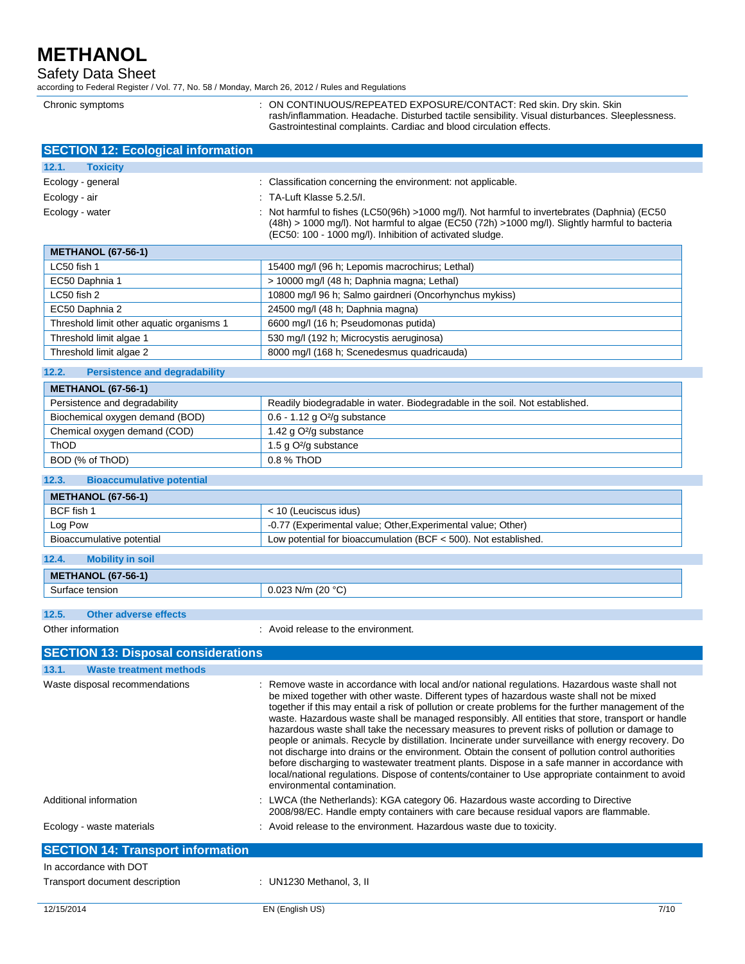Chronic symptoms

Safety Data Sheet

according to Federal Register / Vol. 77, No. 58 / Monday, March 26, 2012 / Rules and Regulations

| : ON CONTINUOUS/REPEATED EXPOSURE/CONTACT: Red skin. Dry skin. Skin<br>rash/inflammation. Headache. Disturbed tactile sensibility. Visual disturbances. Sleeplessness.<br>Gastrointestinal complaints. Cardiac and blood circulation effects. |
|-----------------------------------------------------------------------------------------------------------------------------------------------------------------------------------------------------------------------------------------------|
|                                                                                                                                                                                                                                               |

| <b>SECTION 12: Ecological information</b>                        |                                                                                                                                                                                                                                                                                                                                                                                                                                                                                                                                                                                                                                                                                                                                                                                                                                                                                                                                                            |
|------------------------------------------------------------------|------------------------------------------------------------------------------------------------------------------------------------------------------------------------------------------------------------------------------------------------------------------------------------------------------------------------------------------------------------------------------------------------------------------------------------------------------------------------------------------------------------------------------------------------------------------------------------------------------------------------------------------------------------------------------------------------------------------------------------------------------------------------------------------------------------------------------------------------------------------------------------------------------------------------------------------------------------|
| 12.1.<br><b>Toxicity</b>                                         |                                                                                                                                                                                                                                                                                                                                                                                                                                                                                                                                                                                                                                                                                                                                                                                                                                                                                                                                                            |
| Ecology - general                                                | : Classification concerning the environment: not applicable.                                                                                                                                                                                                                                                                                                                                                                                                                                                                                                                                                                                                                                                                                                                                                                                                                                                                                               |
| Ecology - air                                                    | TA-Luft Klasse 5.2.5/I.                                                                                                                                                                                                                                                                                                                                                                                                                                                                                                                                                                                                                                                                                                                                                                                                                                                                                                                                    |
| Ecology - water                                                  | Not harmful to fishes (LC50(96h) >1000 mg/l). Not harmful to invertebrates (Daphnia) (EC50<br>(48h) > 1000 mg/l). Not harmful to algae (EC50 (72h) >1000 mg/l). Slightly harmful to bacteria<br>(EC50: 100 - 1000 mg/l). Inhibition of activated sludge.                                                                                                                                                                                                                                                                                                                                                                                                                                                                                                                                                                                                                                                                                                   |
| <b>METHANOL (67-56-1)</b>                                        |                                                                                                                                                                                                                                                                                                                                                                                                                                                                                                                                                                                                                                                                                                                                                                                                                                                                                                                                                            |
| LC50 fish 1                                                      | 15400 mg/l (96 h; Lepomis macrochirus; Lethal)                                                                                                                                                                                                                                                                                                                                                                                                                                                                                                                                                                                                                                                                                                                                                                                                                                                                                                             |
| EC50 Daphnia 1                                                   | > 10000 mg/l (48 h; Daphnia magna; Lethal)                                                                                                                                                                                                                                                                                                                                                                                                                                                                                                                                                                                                                                                                                                                                                                                                                                                                                                                 |
| LC50 fish 2                                                      | 10800 mg/l 96 h; Salmo gairdneri (Oncorhynchus mykiss)                                                                                                                                                                                                                                                                                                                                                                                                                                                                                                                                                                                                                                                                                                                                                                                                                                                                                                     |
| EC50 Daphnia 2                                                   | 24500 mg/l (48 h; Daphnia magna)                                                                                                                                                                                                                                                                                                                                                                                                                                                                                                                                                                                                                                                                                                                                                                                                                                                                                                                           |
| Threshold limit other aquatic organisms 1                        | 6600 mg/l (16 h; Pseudomonas putida)                                                                                                                                                                                                                                                                                                                                                                                                                                                                                                                                                                                                                                                                                                                                                                                                                                                                                                                       |
| Threshold limit algae 1                                          | 530 mg/l (192 h; Microcystis aeruginosa)                                                                                                                                                                                                                                                                                                                                                                                                                                                                                                                                                                                                                                                                                                                                                                                                                                                                                                                   |
| Threshold limit algae 2                                          | 8000 mg/l (168 h; Scenedesmus quadricauda)                                                                                                                                                                                                                                                                                                                                                                                                                                                                                                                                                                                                                                                                                                                                                                                                                                                                                                                 |
| <b>Persistence and degradability</b><br>12.2.                    |                                                                                                                                                                                                                                                                                                                                                                                                                                                                                                                                                                                                                                                                                                                                                                                                                                                                                                                                                            |
| <b>METHANOL (67-56-1)</b>                                        |                                                                                                                                                                                                                                                                                                                                                                                                                                                                                                                                                                                                                                                                                                                                                                                                                                                                                                                                                            |
| Persistence and degradability                                    | Readily biodegradable in water. Biodegradable in the soil. Not established.                                                                                                                                                                                                                                                                                                                                                                                                                                                                                                                                                                                                                                                                                                                                                                                                                                                                                |
| Biochemical oxygen demand (BOD)                                  | $0.6 - 1.12$ g O <sup>2</sup> /g substance                                                                                                                                                                                                                                                                                                                                                                                                                                                                                                                                                                                                                                                                                                                                                                                                                                                                                                                 |
| Chemical oxygen demand (COD)                                     | 1.42 g O <sup>2</sup> /g substance                                                                                                                                                                                                                                                                                                                                                                                                                                                                                                                                                                                                                                                                                                                                                                                                                                                                                                                         |
| ThOD                                                             | 1.5 g O <sup>2</sup> /g substance                                                                                                                                                                                                                                                                                                                                                                                                                                                                                                                                                                                                                                                                                                                                                                                                                                                                                                                          |
| BOD (% of ThOD)                                                  | 0.8 % ThOD                                                                                                                                                                                                                                                                                                                                                                                                                                                                                                                                                                                                                                                                                                                                                                                                                                                                                                                                                 |
|                                                                  |                                                                                                                                                                                                                                                                                                                                                                                                                                                                                                                                                                                                                                                                                                                                                                                                                                                                                                                                                            |
| 12.3.<br><b>Bioaccumulative potential</b>                        |                                                                                                                                                                                                                                                                                                                                                                                                                                                                                                                                                                                                                                                                                                                                                                                                                                                                                                                                                            |
| <b>METHANOL (67-56-1)</b>                                        |                                                                                                                                                                                                                                                                                                                                                                                                                                                                                                                                                                                                                                                                                                                                                                                                                                                                                                                                                            |
| BCF fish 1                                                       | < 10 (Leuciscus idus)                                                                                                                                                                                                                                                                                                                                                                                                                                                                                                                                                                                                                                                                                                                                                                                                                                                                                                                                      |
| Log Pow                                                          | -0.77 (Experimental value; Other, Experimental value; Other)                                                                                                                                                                                                                                                                                                                                                                                                                                                                                                                                                                                                                                                                                                                                                                                                                                                                                               |
| Bioaccumulative potential                                        | Low potential for bioaccumulation (BCF < 500). Not established.                                                                                                                                                                                                                                                                                                                                                                                                                                                                                                                                                                                                                                                                                                                                                                                                                                                                                            |
| 12.4.<br><b>Mobility in soil</b>                                 |                                                                                                                                                                                                                                                                                                                                                                                                                                                                                                                                                                                                                                                                                                                                                                                                                                                                                                                                                            |
| <b>METHANOL (67-56-1)</b>                                        |                                                                                                                                                                                                                                                                                                                                                                                                                                                                                                                                                                                                                                                                                                                                                                                                                                                                                                                                                            |
| Surface tension                                                  | $0.023$ N/m (20 °C)                                                                                                                                                                                                                                                                                                                                                                                                                                                                                                                                                                                                                                                                                                                                                                                                                                                                                                                                        |
|                                                                  |                                                                                                                                                                                                                                                                                                                                                                                                                                                                                                                                                                                                                                                                                                                                                                                                                                                                                                                                                            |
| 12.5.<br><b>Other adverse effects</b>                            |                                                                                                                                                                                                                                                                                                                                                                                                                                                                                                                                                                                                                                                                                                                                                                                                                                                                                                                                                            |
| Other information                                                | : Avoid release to the environment.                                                                                                                                                                                                                                                                                                                                                                                                                                                                                                                                                                                                                                                                                                                                                                                                                                                                                                                        |
| <b>SECTION 13: Disposal considerations</b>                       |                                                                                                                                                                                                                                                                                                                                                                                                                                                                                                                                                                                                                                                                                                                                                                                                                                                                                                                                                            |
| 13.1.                                                            |                                                                                                                                                                                                                                                                                                                                                                                                                                                                                                                                                                                                                                                                                                                                                                                                                                                                                                                                                            |
| <b>Waste treatment methods</b><br>Waste disposal recommendations | : Remove waste in accordance with local and/or national regulations. Hazardous waste shall not<br>be mixed together with other waste. Different types of hazardous waste shall not be mixed<br>together if this may entail a risk of pollution or create problems for the further management of the<br>waste. Hazardous waste shall be managed responsibly. All entities that store, transport or handle<br>hazardous waste shall take the necessary measures to prevent risks of pollution or damage to<br>people or animals. Recycle by distillation. Incinerate under surveillance with energy recovery. Do<br>not discharge into drains or the environment. Obtain the consent of pollution control authorities<br>before discharging to wastewater treatment plants. Dispose in a safe manner in accordance with<br>local/national regulations. Dispose of contents/container to Use appropriate containment to avoid<br>environmental contamination. |
| Additional information                                           | LWCA (the Netherlands): KGA category 06. Hazardous waste according to Directive<br>2008/98/EC. Handle empty containers with care because residual vapors are flammable.                                                                                                                                                                                                                                                                                                                                                                                                                                                                                                                                                                                                                                                                                                                                                                                    |
| Ecology - waste materials                                        | : Avoid release to the environment. Hazardous waste due to toxicity.                                                                                                                                                                                                                                                                                                                                                                                                                                                                                                                                                                                                                                                                                                                                                                                                                                                                                       |
| <b>SECTION 14: Transport information</b>                         |                                                                                                                                                                                                                                                                                                                                                                                                                                                                                                                                                                                                                                                                                                                                                                                                                                                                                                                                                            |
| In accordance with DOT                                           |                                                                                                                                                                                                                                                                                                                                                                                                                                                                                                                                                                                                                                                                                                                                                                                                                                                                                                                                                            |
| Transport document description                                   | : UN1230 Methanol, 3, II                                                                                                                                                                                                                                                                                                                                                                                                                                                                                                                                                                                                                                                                                                                                                                                                                                                                                                                                   |
|                                                                  |                                                                                                                                                                                                                                                                                                                                                                                                                                                                                                                                                                                                                                                                                                                                                                                                                                                                                                                                                            |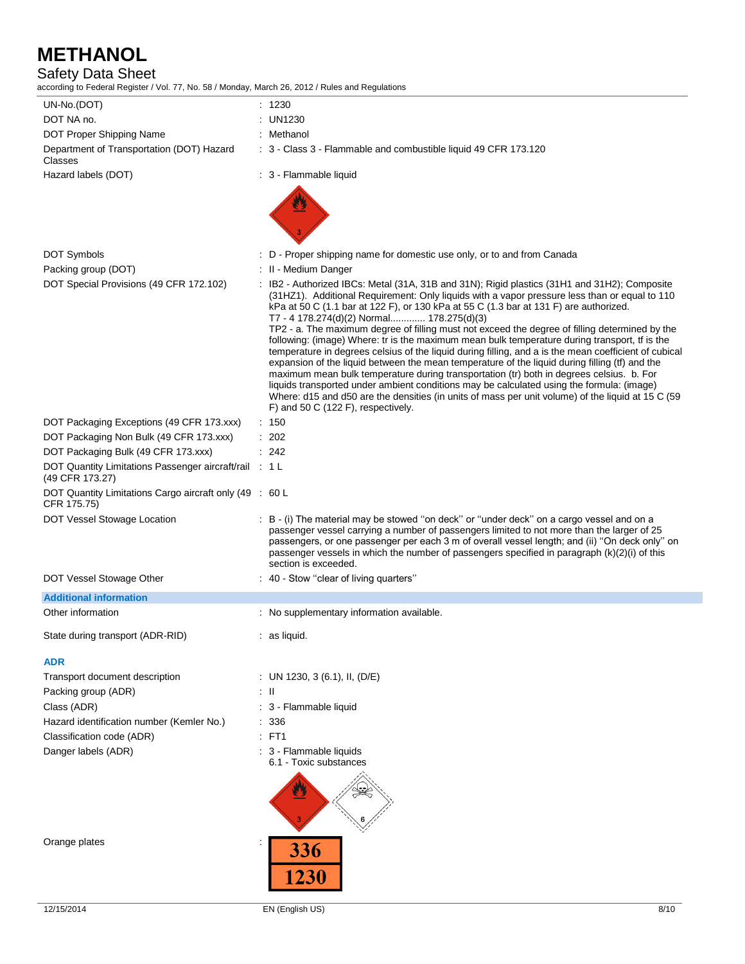# Safety Data Sheet

according to Federal Register / Vol. 77, No. 58 / Monday, March 26, 2012 / Rules and Regulations

| UN-No.(DOT)                                                               | : 1230                                                                                                                                                                                                                                                                                                                                                                                                                                                                                                                                                                                                                                                                                                                                                                                                                                                                                                                                                                                                                                                                                |
|---------------------------------------------------------------------------|---------------------------------------------------------------------------------------------------------------------------------------------------------------------------------------------------------------------------------------------------------------------------------------------------------------------------------------------------------------------------------------------------------------------------------------------------------------------------------------------------------------------------------------------------------------------------------------------------------------------------------------------------------------------------------------------------------------------------------------------------------------------------------------------------------------------------------------------------------------------------------------------------------------------------------------------------------------------------------------------------------------------------------------------------------------------------------------|
| DOT NA no.                                                                | : UN1230                                                                                                                                                                                                                                                                                                                                                                                                                                                                                                                                                                                                                                                                                                                                                                                                                                                                                                                                                                                                                                                                              |
| DOT Proper Shipping Name                                                  | : Methanol                                                                                                                                                                                                                                                                                                                                                                                                                                                                                                                                                                                                                                                                                                                                                                                                                                                                                                                                                                                                                                                                            |
| Department of Transportation (DOT) Hazard<br>Classes                      | : 3 - Class 3 - Flammable and combustible liquid 49 CFR 173.120                                                                                                                                                                                                                                                                                                                                                                                                                                                                                                                                                                                                                                                                                                                                                                                                                                                                                                                                                                                                                       |
| Hazard labels (DOT)                                                       | : 3 - Flammable liquid                                                                                                                                                                                                                                                                                                                                                                                                                                                                                                                                                                                                                                                                                                                                                                                                                                                                                                                                                                                                                                                                |
|                                                                           |                                                                                                                                                                                                                                                                                                                                                                                                                                                                                                                                                                                                                                                                                                                                                                                                                                                                                                                                                                                                                                                                                       |
| <b>DOT Symbols</b>                                                        | : D - Proper shipping name for domestic use only, or to and from Canada                                                                                                                                                                                                                                                                                                                                                                                                                                                                                                                                                                                                                                                                                                                                                                                                                                                                                                                                                                                                               |
| Packing group (DOT)                                                       | : II - Medium Danger                                                                                                                                                                                                                                                                                                                                                                                                                                                                                                                                                                                                                                                                                                                                                                                                                                                                                                                                                                                                                                                                  |
| DOT Special Provisions (49 CFR 172.102)                                   | : IB2 - Authorized IBCs: Metal (31A, 31B and 31N); Rigid plastics (31H1 and 31H2); Composite<br>(31HZ1). Additional Requirement: Only liquids with a vapor pressure less than or equal to 110<br>kPa at 50 C (1.1 bar at 122 F), or 130 kPa at 55 C (1.3 bar at 131 F) are authorized.<br>T7 - 4 178.274(d)(2) Normal 178.275(d)(3)<br>TP2 - a. The maximum degree of filling must not exceed the degree of filling determined by the<br>following: (image) Where: tr is the maximum mean bulk temperature during transport, tf is the<br>temperature in degrees celsius of the liquid during filling, and a is the mean coefficient of cubical<br>expansion of the liquid between the mean temperature of the liquid during filling (tf) and the<br>maximum mean bulk temperature during transportation (tr) both in degrees celsius. b. For<br>liquids transported under ambient conditions may be calculated using the formula: (image)<br>Where: d15 and d50 are the densities (in units of mass per unit volume) of the liquid at 15 C (59<br>F) and 50 C (122 F), respectively. |
| DOT Packaging Exceptions (49 CFR 173.xxx)                                 | : 150                                                                                                                                                                                                                                                                                                                                                                                                                                                                                                                                                                                                                                                                                                                                                                                                                                                                                                                                                                                                                                                                                 |
| DOT Packaging Non Bulk (49 CFR 173.xxx)                                   | $\therefore$ 202                                                                                                                                                                                                                                                                                                                                                                                                                                                                                                                                                                                                                                                                                                                                                                                                                                                                                                                                                                                                                                                                      |
| DOT Packaging Bulk (49 CFR 173.xxx)                                       | : 242                                                                                                                                                                                                                                                                                                                                                                                                                                                                                                                                                                                                                                                                                                                                                                                                                                                                                                                                                                                                                                                                                 |
| DOT Quantity Limitations Passenger aircraft/rail : 1 L<br>(49 CFR 173.27) |                                                                                                                                                                                                                                                                                                                                                                                                                                                                                                                                                                                                                                                                                                                                                                                                                                                                                                                                                                                                                                                                                       |
| DOT Quantity Limitations Cargo aircraft only (49 : 60 L<br>CFR 175.75)    |                                                                                                                                                                                                                                                                                                                                                                                                                                                                                                                                                                                                                                                                                                                                                                                                                                                                                                                                                                                                                                                                                       |
| DOT Vessel Stowage Location                                               | : B - (i) The material may be stowed "on deck" or "under deck" on a cargo vessel and on a<br>passenger vessel carrying a number of passengers limited to not more than the larger of 25<br>passengers, or one passenger per each 3 m of overall vessel length; and (ii) "On deck only" on<br>passenger vessels in which the number of passengers specified in paragraph (k)(2)(i) of this<br>section is exceeded.                                                                                                                                                                                                                                                                                                                                                                                                                                                                                                                                                                                                                                                                     |
| DOT Vessel Stowage Other                                                  | : 40 - Stow "clear of living quarters"                                                                                                                                                                                                                                                                                                                                                                                                                                                                                                                                                                                                                                                                                                                                                                                                                                                                                                                                                                                                                                                |
| <b>Additional information</b>                                             |                                                                                                                                                                                                                                                                                                                                                                                                                                                                                                                                                                                                                                                                                                                                                                                                                                                                                                                                                                                                                                                                                       |
| Other information                                                         | : No supplementary information available.                                                                                                                                                                                                                                                                                                                                                                                                                                                                                                                                                                                                                                                                                                                                                                                                                                                                                                                                                                                                                                             |
| State during transport (ADR-RID)                                          | as liquid.                                                                                                                                                                                                                                                                                                                                                                                                                                                                                                                                                                                                                                                                                                                                                                                                                                                                                                                                                                                                                                                                            |
| <b>ADR</b>                                                                |                                                                                                                                                                                                                                                                                                                                                                                                                                                                                                                                                                                                                                                                                                                                                                                                                                                                                                                                                                                                                                                                                       |
| Transport document description                                            | : UN 1230, 3 (6.1), II, (D/E)                                                                                                                                                                                                                                                                                                                                                                                                                                                                                                                                                                                                                                                                                                                                                                                                                                                                                                                                                                                                                                                         |
| Packing group (ADR)                                                       | ÷Ш                                                                                                                                                                                                                                                                                                                                                                                                                                                                                                                                                                                                                                                                                                                                                                                                                                                                                                                                                                                                                                                                                    |
| Class (ADR)                                                               | : 3 - Flammable liquid                                                                                                                                                                                                                                                                                                                                                                                                                                                                                                                                                                                                                                                                                                                                                                                                                                                                                                                                                                                                                                                                |
| Hazard identification number (Kemler No.)                                 | : 336                                                                                                                                                                                                                                                                                                                                                                                                                                                                                                                                                                                                                                                                                                                                                                                                                                                                                                                                                                                                                                                                                 |
| Classification code (ADR)                                                 | $E$ FT1                                                                                                                                                                                                                                                                                                                                                                                                                                                                                                                                                                                                                                                                                                                                                                                                                                                                                                                                                                                                                                                                               |
| Danger labels (ADR)                                                       | : 3 - Flammable liquids<br>6.1 - Toxic substances                                                                                                                                                                                                                                                                                                                                                                                                                                                                                                                                                                                                                                                                                                                                                                                                                                                                                                                                                                                                                                     |
|                                                                           |                                                                                                                                                                                                                                                                                                                                                                                                                                                                                                                                                                                                                                                                                                                                                                                                                                                                                                                                                                                                                                                                                       |
| Orange plates                                                             | 336<br><b>1230</b>                                                                                                                                                                                                                                                                                                                                                                                                                                                                                                                                                                                                                                                                                                                                                                                                                                                                                                                                                                                                                                                                    |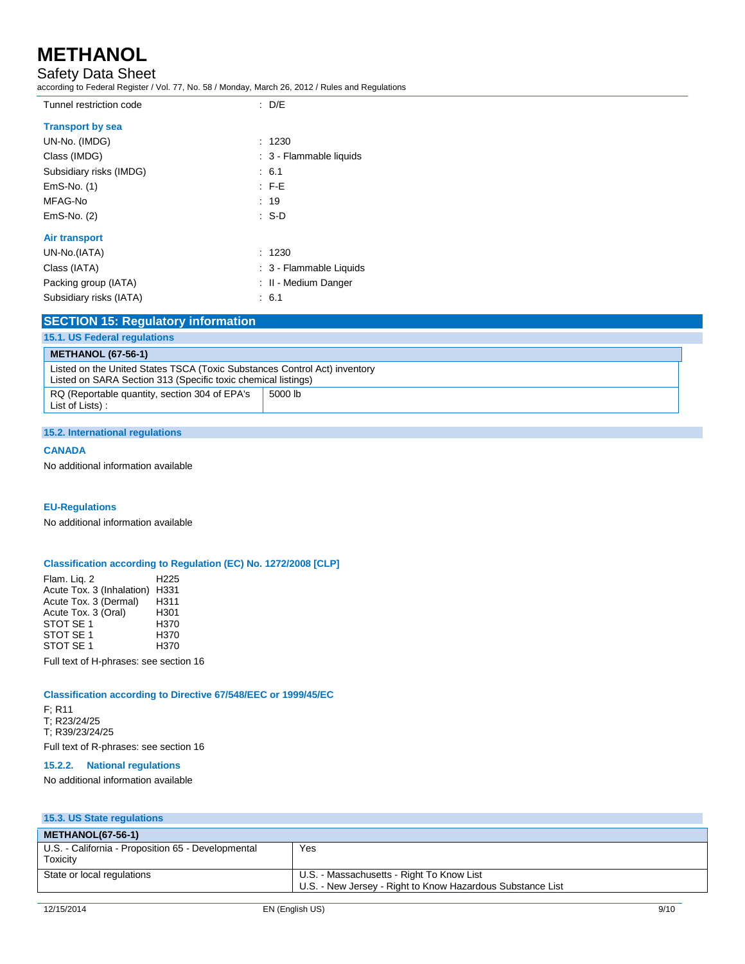# Safety Data Sheet

according to Federal Register / Vol. 77, No. 58 / Monday, March 26, 2012 / Rules and Regulations

| Tunnel restriction code | $\therefore$ D/E        |
|-------------------------|-------------------------|
| <b>Transport by sea</b> |                         |
| UN-No. (IMDG)           | : 1230                  |
| Class (IMDG)            | : 3 - Flammable liquids |
| Subsidiary risks (IMDG) | : 6.1                   |
| EmS-No. (1)             | $F-E$                   |
| MFAG-No                 | : 19                    |
| EmS-No. (2)             | $\cdot$ S-D             |
| Air transport           |                         |
| UN-No.(IATA)            | : 1230                  |
| Class (IATA)            | : 3 - Flammable Liquids |
| Packing group (IATA)    | : II - Medium Danger    |
| Subsidiary risks (IATA) | : 6.1                   |
|                         |                         |

## **SECTION 15: Regulatory information**

| 15.1. US Federal regulations                                                                                                               |         |  |
|--------------------------------------------------------------------------------------------------------------------------------------------|---------|--|
| <b>METHANOL (67-56-1)</b>                                                                                                                  |         |  |
| Listed on the United States TSCA (Toxic Substances Control Act) inventory<br>Listed on SARA Section 313 (Specific toxic chemical listings) |         |  |
| RQ (Reportable quantity, section 304 of EPA's<br>List of Lists):                                                                           | 5000 lb |  |

### **15.2. International regulations**

### **CANADA**

No additional information available

### **EU-Regulations**

No additional information available

### **Classification according to Regulation (EC) No. 1272/2008 [CLP]**

Flam. Liq. 2 H225 Acute Tox. 3 (Inhalation) H331<br>Acute Tox. 3 (Dermal) H311 Acute Tox. 3 (Dermal) H311<br>Acute Tox. 3 (Oral) H301 Acute Tox. 3 (Oral) H301<br>STOT SE 1 H370 STOT SE 1 <br>STOT SE 1 H370 STOT SE 1<br>STOT SE 1 H370 STOT SE 1

Full text of H-phrases: see section 16

### **Classification according to Directive 67/548/EEC or 1999/45/EC**

F; R11 T; R23/24/25 T; R39/23/24/25 Full text of R-phrases: see section 16

### **15.2.2. National regulations**

No additional information available

| 15.3. US State regulations                                     |                                                                                                         |  |  |  |
|----------------------------------------------------------------|---------------------------------------------------------------------------------------------------------|--|--|--|
| <b>METHANOL(67-56-1)</b>                                       |                                                                                                         |  |  |  |
| U.S. - California - Proposition 65 - Developmental<br>Toxicity | Yes                                                                                                     |  |  |  |
| State or local regulations                                     | U.S. - Massachusetts - Right To Know List<br>U.S. - New Jersey - Right to Know Hazardous Substance List |  |  |  |